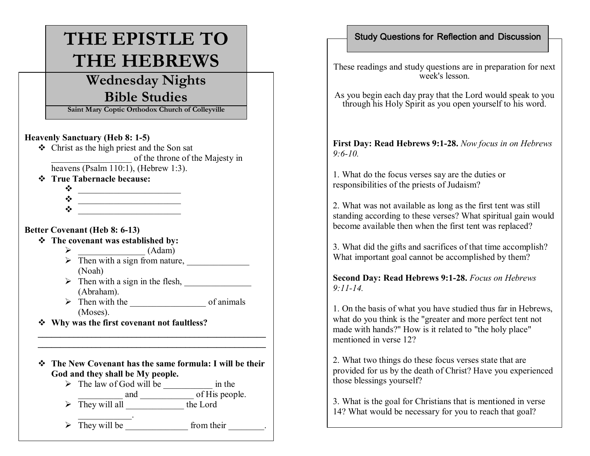